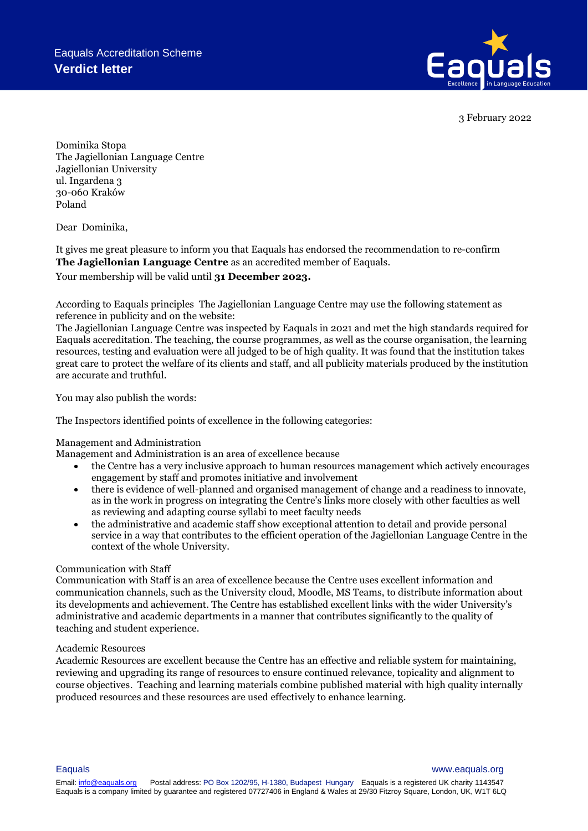

3 February 2022

Dominika Stopa The Jagiellonian Language Centre Jagiellonian University ul. Ingardena 3 30-060 Kraków Poland

Dear Dominika,

It gives me great pleasure to inform you that Eaquals has endorsed the recommendation to re-confirm **The Jagiellonian Language Centre** as an accredited member of Eaquals.

Your membership will be valid until **31 December 2023.**

According to Eaquals principles The Jagiellonian Language Centre may use the following statement as reference in publicity and on the website:

The Jagiellonian Language Centre was inspected by Eaquals in 2021 and met the high standards required for Eaquals accreditation. The teaching, the course programmes, as well as the course organisation, the learning resources, testing and evaluation were all judged to be of high quality. It was found that the institution takes great care to protect the welfare of its clients and staff, and all publicity materials produced by the institution are accurate and truthful.

You may also publish the words:

The Inspectors identified points of excellence in the following categories:

## Management and Administration

Management and Administration is an area of excellence because

- the Centre has a very inclusive approach to human resources management which actively encourages engagement by staff and promotes initiative and involvement
- there is evidence of well-planned and organised management of change and a readiness to innovate, as in the work in progress on integrating the Centre's links more closely with other faculties as well as reviewing and adapting course syllabi to meet faculty needs
- the administrative and academic staff show exceptional attention to detail and provide personal service in a way that contributes to the efficient operation of the Jagiellonian Language Centre in the context of the whole University.

## Communication with Staff

Communication with Staff is an area of excellence because the Centre uses excellent information and communication channels, such as the University cloud, Moodle, MS Teams, to distribute information about its developments and achievement. The Centre has established excellent links with the wider University's administrative and academic departments in a manner that contributes significantly to the quality of teaching and student experience.

## Academic Resources

Academic Resources are excellent because the Centre has an effective and reliable system for maintaining, reviewing and upgrading its range of resources to ensure continued relevance, topicality and alignment to course objectives. Teaching and learning materials combine published material with high quality internally produced resources and these resources are used effectively to enhance learning.